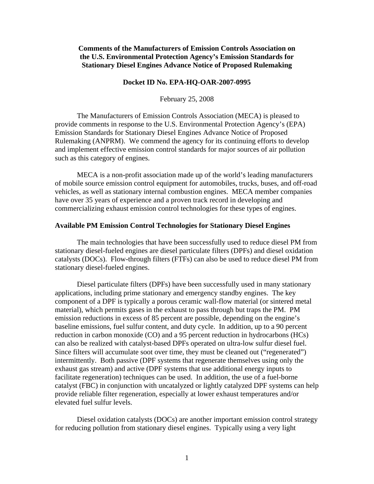**Comments of the Manufacturers of Emission Controls Association on the U.S. Environmental Protection Agency's Emission Standards for Stationary Diesel Engines Advance Notice of Proposed Rulemaking** 

#### **Docket ID No. EPA-HQ-OAR-2007-0995**

February 25, 2008

The Manufacturers of Emission Controls Association (MECA) is pleased to provide comments in response to the U.S. Environmental Protection Agency's (EPA) Emission Standards for Stationary Diesel Engines Advance Notice of Proposed Rulemaking (ANPRM). We commend the agency for its continuing efforts to develop and implement effective emission control standards for major sources of air pollution such as this category of engines.

MECA is a non-profit association made up of the world's leading manufacturers of mobile source emission control equipment for automobiles, trucks, buses, and off-road vehicles, as well as stationary internal combustion engines. MECA member companies have over 35 years of experience and a proven track record in developing and commercializing exhaust emission control technologies for these types of engines.

# **Available PM Emission Control Technologies for Stationary Diesel Engines**

The main technologies that have been successfully used to reduce diesel PM from stationary diesel-fueled engines are diesel particulate filters (DPFs) and diesel oxidation catalysts (DOCs). Flow-through filters (FTFs) can also be used to reduce diesel PM from stationary diesel-fueled engines.

 Diesel particulate filters (DPFs) have been successfully used in many stationary applications, including prime stationary and emergency standby engines. The key component of a DPF is typically a porous ceramic wall-flow material (or sintered metal material), which permits gases in the exhaust to pass through but traps the PM. PM emission reductions in excess of 85 percent are possible, depending on the engine's baseline emissions, fuel sulfur content, and duty cycle. In addition, up to a 90 percent reduction in carbon monoxide (CO) and a 95 percent reduction in hydrocarbons (HCs) can also be realized with catalyst-based DPFs operated on ultra-low sulfur diesel fuel. Since filters will accumulate soot over time, they must be cleaned out ("regenerated") intermittently. Both passive (DPF systems that regenerate themselves using only the exhaust gas stream) and active (DPF systems that use additional energy inputs to facilitate regeneration) techniques can be used. In addition, the use of a fuel-borne catalyst (FBC) in conjunction with uncatalyzed or lightly catalyzed DPF systems can help provide reliable filter regeneration, especially at lower exhaust temperatures and/or elevated fuel sulfur levels.

 Diesel oxidation catalysts (DOCs) are another important emission control strategy for reducing pollution from stationary diesel engines. Typically using a very light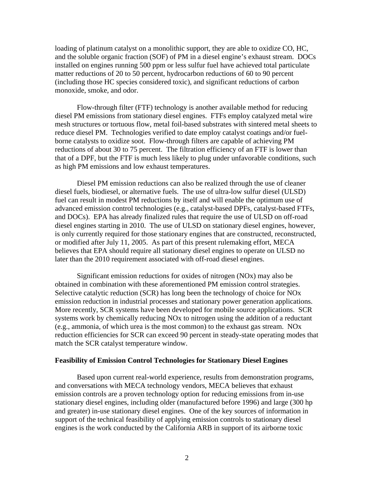loading of platinum catalyst on a monolithic support, they are able to oxidize CO, HC, and the soluble organic fraction (SOF) of PM in a diesel engine's exhaust stream. DOCs installed on engines running 500 ppm or less sulfur fuel have achieved total particulate matter reductions of 20 to 50 percent, hydrocarbon reductions of 60 to 90 percent (including those HC species considered toxic), and significant reductions of carbon monoxide, smoke, and odor.

 Flow-through filter (FTF) technology is another available method for reducing diesel PM emissions from stationary diesel engines. FTFs employ catalyzed metal wire mesh structures or tortuous flow, metal foil-based substrates with sintered metal sheets to reduce diesel PM. Technologies verified to date employ catalyst coatings and/or fuelborne catalysts to oxidize soot. Flow-through filters are capable of achieving PM reductions of about 30 to 75 percent. The filtration efficiency of an FTF is lower than that of a DPF, but the FTF is much less likely to plug under unfavorable conditions, such as high PM emissions and low exhaust temperatures.

 Diesel PM emission reductions can also be realized through the use of cleaner diesel fuels, biodiesel, or alternative fuels. The use of ultra-low sulfur diesel (ULSD) fuel can result in modest PM reductions by itself and will enable the optimum use of advanced emission control technologies (e.g., catalyst-based DPFs, catalyst-based FTFs, and DOCs). EPA has already finalized rules that require the use of ULSD on off-road diesel engines starting in 2010. The use of ULSD on stationary diesel engines, however, is only currently required for those stationary engines that are constructed, reconstructed, or modified after July 11, 2005. As part of this present rulemaking effort, MECA believes that EPA should require all stationary diesel engines to operate on ULSD no later than the 2010 requirement associated with off-road diesel engines.

 Significant emission reductions for oxides of nitrogen (NOx) may also be obtained in combination with these aforementioned PM emission control strategies. Selective catalytic reduction (SCR) has long been the technology of choice for NOx emission reduction in industrial processes and stationary power generation applications. More recently, SCR systems have been developed for mobile source applications. SCR systems work by chemically reducing NOx to nitrogen using the addition of a reductant (e.g., ammonia, of which urea is the most common) to the exhaust gas stream. NOx reduction efficiencies for SCR can exceed 90 percent in steady-state operating modes that match the SCR catalyst temperature window.

### **Feasibility of Emission Control Technologies for Stationary Diesel Engines**

 Based upon current real-world experience, results from demonstration programs, and conversations with MECA technology vendors, MECA believes that exhaust emission controls are a proven technology option for reducing emissions from in-use stationary diesel engines, including older (manufactured before 1996) and large (300 hp and greater) in-use stationary diesel engines. One of the key sources of information in support of the technical feasibility of applying emission controls to stationary diesel engines is the work conducted by the California ARB in support of its airborne toxic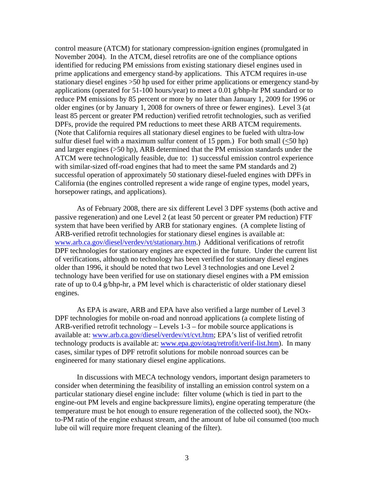control measure (ATCM) for stationary compression-ignition engines (promulgated in November 2004). In the ATCM, diesel retrofits are one of the compliance options identified for reducing PM emissions from existing stationary diesel engines used in prime applications and emergency stand-by applications. This ATCM requires in-use stationary diesel engines >50 hp used for either prime applications or emergency stand-by applications (operated for 51-100 hours/year) to meet a 0.01 g/bhp-hr PM standard or to reduce PM emissions by 85 percent or more by no later than January 1, 2009 for 1996 or older engines (or by January 1, 2008 for owners of three or fewer engines). Level 3 (at least 85 percent or greater PM reduction) verified retrofit technologies, such as verified DPFs, provide the required PM reductions to meet these ARB ATCM requirements. (Note that California requires all stationary diesel engines to be fueled with ultra-low sulfur diesel fuel with a maximum sulfur content of 15 ppm.) For both small  $(<50$  hp) and larger engines (>50 hp), ARB determined that the PM emission standards under the ATCM were technologically feasible, due to: 1) successful emission control experience with similar-sized off-road engines that had to meet the same PM standards and 2) successful operation of approximately 50 stationary diesel-fueled engines with DPFs in California (the engines controlled represent a wide range of engine types, model years, horsepower ratings, and applications).

 As of February 2008, there are six different Level 3 DPF systems (both active and passive regeneration) and one Level 2 (at least 50 percent or greater PM reduction) FTF system that have been verified by ARB for stationary engines. (A complete listing of ARB-verified retrofit technologies for stationary diesel engines is available at: [www.arb.ca.gov/diesel/verdev/vt/stationary.htm](http://www.arb.ca.gov/diesel/verdev/vt/stationary.htm).) Additional verifications of retrofit DPF technologies for stationary engines are expected in the future. Under the current list of verifications, although no technology has been verified for stationary diesel engines older than 1996, it should be noted that two Level 3 technologies and one Level 2 technology have been verified for use on stationary diesel engines with a PM emission rate of up to 0.4 g/bhp-hr, a PM level which is characteristic of older stationary diesel engines.

 As EPA is aware, ARB and EPA have also verified a large number of Level 3 DPF technologies for mobile on-road and nonroad applications (a complete listing of ARB-verified retrofit technology – Levels 1-3 – for mobile source applications is available at: [www.arb.ca.gov/diesel/verdev/vt/cvt.htm;](http://www.arb.ca.gov/diesel/verdev/vt/cvt.htm) EPA's list of verified retrofit technology products is available at: [www.epa.gov/otaq/retrofit/verif-list.htm\)](http://www.epa.gov/otaq/retrofit/verif-list.htm). In many cases, similar types of DPF retrofit solutions for mobile nonroad sources can be engineered for many stationary diesel engine applications.

 In discussions with MECA technology vendors, important design parameters to consider when determining the feasibility of installing an emission control system on a particular stationary diesel engine include: filter volume (which is tied in part to the engine-out PM levels and engine backpressure limits), engine operating temperature (the temperature must be hot enough to ensure regeneration of the collected soot), the NOxto-PM ratio of the engine exhaust stream, and the amount of lube oil consumed (too much lube oil will require more frequent cleaning of the filter).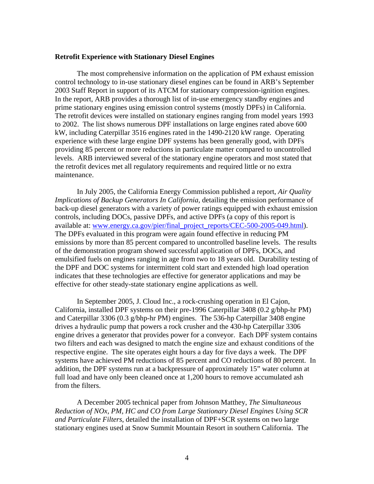# **Retrofit Experience with Stationary Diesel Engines**

 The most comprehensive information on the application of PM exhaust emission control technology to in-use stationary diesel engines can be found in ARB's September 2003 Staff Report in support of its ATCM for stationary compression-ignition engines. In the report, ARB provides a thorough list of in-use emergency standby engines and prime stationary engines using emission control systems (mostly DPFs) in California. The retrofit devices were installed on stationary engines ranging from model years 1993 to 2002. The list shows numerous DPF installations on large engines rated above 600 kW, including Caterpillar 3516 engines rated in the 1490-2120 kW range. Operating experience with these large engine DPF systems has been generally good, with DPFs providing 85 percent or more reductions in particulate matter compared to uncontrolled levels. ARB interviewed several of the stationary engine operators and most stated that the retrofit devices met all regulatory requirements and required little or no extra maintenance.

 In July 2005, the California Energy Commission published a report, *Air Quality Implications of Backup Generators In California*, detailing the emission performance of back-up diesel generators with a variety of power ratings equipped with exhaust emission controls, including DOCs, passive DPFs, and active DPFs (a copy of this report is available at: [www.energy.ca.gov/pier/final\\_project\\_reports/CEC-500-2005-049.html](http://www.energy.ca.gov/pier/final_project_reports/CEC-500-2005-049.html)). The DPFs evaluated in this program were again found effective in reducing PM emissions by more than 85 percent compared to uncontrolled baseline levels. The results of the demonstration program showed successful application of DPFs, DOCs, and emulsified fuels on engines ranging in age from two to 18 years old. Durability testing of the DPF and DOC systems for intermittent cold start and extended high load operation indicates that these technologies are effective for generator applications and may be effective for other steady-state stationary engine applications as well.

 In September 2005, J. Cloud Inc., a rock-crushing operation in El Cajon, California, installed DPF systems on their pre-1996 Caterpillar 3408 (0.2 g/bhp-hr PM) and Caterpillar 3306 (0.3 g/bhp-hr PM) engines. The 536-hp Caterpillar 3408 engine drives a hydraulic pump that powers a rock crusher and the 430-hp Caterpillar 3306 engine drives a generator that provides power for a conveyor. Each DPF system contains two filters and each was designed to match the engine size and exhaust conditions of the respective engine. The site operates eight hours a day for five days a week. The DPF systems have achieved PM reductions of 85 percent and CO reductions of 80 percent. In addition, the DPF systems run at a backpressure of approximately 15" water column at full load and have only been cleaned once at 1,200 hours to remove accumulated ash from the filters.

 A December 2005 technical paper from Johnson Matthey, *The Simultaneous Reduction of NOx, PM, HC and CO from Large Stationary Diesel Engines Using SCR and Particulate Filters*, detailed the installation of DPF+SCR systems on two large stationary engines used at Snow Summit Mountain Resort in southern California. The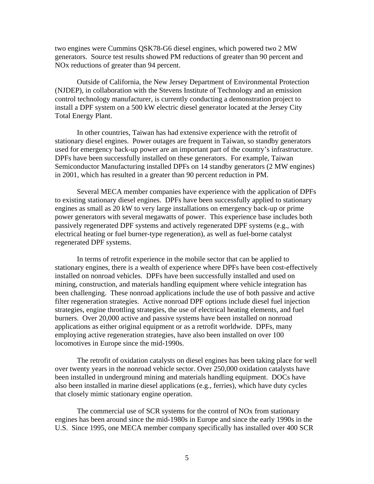two engines were Cummins QSK78-G6 diesel engines, which powered two 2 MW generators. Source test results showed PM reductions of greater than 90 percent and NOx reductions of greater than 94 percent.

 Outside of California, the New Jersey Department of Environmental Protection (NJDEP), in collaboration with the Stevens Institute of Technology and an emission control technology manufacturer, is currently conducting a demonstration project to install a DPF system on a 500 kW electric diesel generator located at the Jersey City Total Energy Plant.

 In other countries, Taiwan has had extensive experience with the retrofit of stationary diesel engines. Power outages are frequent in Taiwan, so standby generators used for emergency back-up power are an important part of the country's infrastructure. DPFs have been successfully installed on these generators. For example, Taiwan Semiconductor Manufacturing installed DPFs on 14 standby generators (2 MW engines) in 2001, which has resulted in a greater than 90 percent reduction in PM.

 Several MECA member companies have experience with the application of DPFs to existing stationary diesel engines. DPFs have been successfully applied to stationary engines as small as 20 kW to very large installations on emergency back-up or prime power generators with several megawatts of power. This experience base includes both passively regenerated DPF systems and actively regenerated DPF systems (e.g., with electrical heating or fuel burner-type regeneration), as well as fuel-borne catalyst regenerated DPF systems.

 In terms of retrofit experience in the mobile sector that can be applied to stationary engines, there is a wealth of experience where DPFs have been cost-effectively installed on nonroad vehicles. DPFs have been successfully installed and used on mining, construction, and materials handling equipment where vehicle integration has been challenging. These nonroad applications include the use of both passive and active filter regeneration strategies. Active nonroad DPF options include diesel fuel injection strategies, engine throttling strategies, the use of electrical heating elements, and fuel burners. Over 20,000 active and passive systems have been installed on nonroad applications as either original equipment or as a retrofit worldwide. DPFs, many employing active regeneration strategies, have also been installed on over 100 locomotives in Europe since the mid-1990s.

 The retrofit of oxidation catalysts on diesel engines has been taking place for well over twenty years in the nonroad vehicle sector. Over 250,000 oxidation catalysts have been installed in underground mining and materials handling equipment. DOCs have also been installed in marine diesel applications (e.g., ferries), which have duty cycles that closely mimic stationary engine operation.

The commercial use of SCR systems for the control of NOx from stationary engines has been around since the mid-1980s in Europe and since the early 1990s in the U.S. Since 1995, one MECA member company specifically has installed over 400 SCR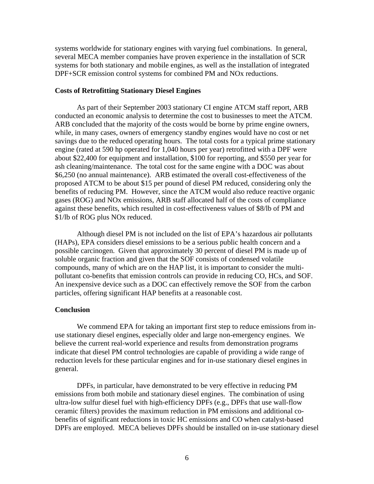systems worldwide for stationary engines with varying fuel combinations. In general, several MECA member companies have proven experience in the installation of SCR systems for both stationary and mobile engines, as well as the installation of integrated DPF+SCR emission control systems for combined PM and NOx reductions.

# **Costs of Retrofitting Stationary Diesel Engines**

 As part of their September 2003 stationary CI engine ATCM staff report, ARB conducted an economic analysis to determine the cost to businesses to meet the ATCM. ARB concluded that the majority of the costs would be borne by prime engine owners, while, in many cases, owners of emergency standby engines would have no cost or net savings due to the reduced operating hours. The total costs for a typical prime stationary engine (rated at 590 hp operated for 1,040 hours per year) retrofitted with a DPF were about \$22,400 for equipment and installation, \$100 for reporting, and \$550 per year for ash cleaning/maintenance. The total cost for the same engine with a DOC was about \$6,250 (no annual maintenance). ARB estimated the overall cost-effectiveness of the proposed ATCM to be about \$15 per pound of diesel PM reduced, considering only the benefits of reducing PM. However, since the ATCM would also reduce reactive organic gases (ROG) and NOx emissions, ARB staff allocated half of the costs of compliance against these benefits, which resulted in cost-effectiveness values of \$8/lb of PM and \$1/lb of ROG plus NOx reduced.

 Although diesel PM is not included on the list of EPA's hazardous air pollutants (HAPs), EPA considers diesel emissions to be a serious public health concern and a possible carcinogen. Given that approximately 30 percent of diesel PM is made up of soluble organic fraction and given that the SOF consists of condensed volatile compounds, many of which are on the HAP list, it is important to consider the multipollutant co-benefits that emission controls can provide in reducing CO, HCs, and SOF. An inexpensive device such as a DOC can effectively remove the SOF from the carbon particles, offering significant HAP benefits at a reasonable cost.

# **Conclusion**

 We commend EPA for taking an important first step to reduce emissions from inuse stationary diesel engines, especially older and large non-emergency engines. We believe the current real-world experience and results from demonstration programs indicate that diesel PM control technologies are capable of providing a wide range of reduction levels for these particular engines and for in-use stationary diesel engines in general.

 DPFs, in particular, have demonstrated to be very effective in reducing PM emissions from both mobile and stationary diesel engines. The combination of using ultra-low sulfur diesel fuel with high-efficiency DPFs (e.g., DPFs that use wall-flow ceramic filters) provides the maximum reduction in PM emissions and additional cobenefits of significant reductions in toxic HC emissions and CO when catalyst-based DPFs are employed. MECA believes DPFs should be installed on in-use stationary diesel